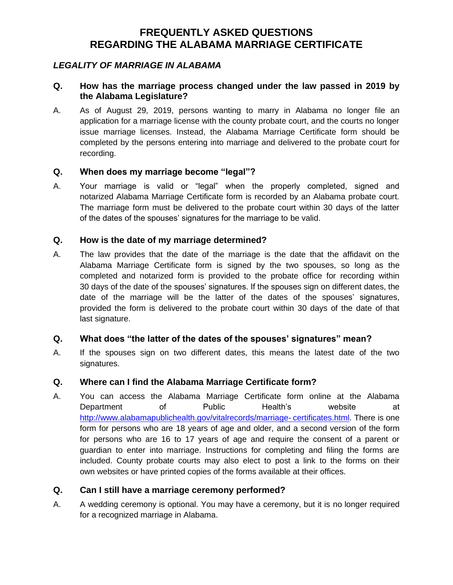## *LEGALITY OF MARRIAGE IN ALABAMA*

### **Q. How has the marriage process changed under the law passed in 2019 by the Alabama Legislature?**

A. As of August 29, 2019, persons wanting to marry in Alabama no longer file an application for a marriage license with the county probate court, and the courts no longer issue marriage licenses. Instead, the Alabama Marriage Certificate form should be completed by the persons entering into marriage and delivered to the probate court for recording.

### **Q. When does my marriage become "legal"?**

A. Your marriage is valid or "legal" when the properly completed, signed and notarized Alabama Marriage Certificate form is recorded by an Alabama probate court. The marriage form must be delivered to the probate court within 30 days of the latter of the dates of the spouses' signatures for the marriage to be valid.

### **Q. How is the date of my marriage determined?**

A. The law provides that the date of the marriage is the date that the affidavit on the Alabama Marriage Certificate form is signed by the two spouses, so long as the completed and notarized form is provided to the probate office for recording within 30 days of the date of the spouses' signatures. If the spouses sign on different dates, the date of the marriage will be the latter of the dates of the spouses' signatures, provided the form is delivered to the probate court within 30 days of the date of that last signature.

## **Q. What does "the latter of the dates of the spouses' signatures" mean?**

A. If the spouses sign on two different dates, this means the latest date of the two signatures.

## **Q. Where can I find the Alabama Marriage Certificate form?**

A. You can access the Alabama Marriage Certificate form online at the Alabama Department of Public Health's website at [http://www.alabamapublichealth.gov/vitalrecords/marriage-](http://www.alabamapublichealth.gov/vitalrecords/marriage-%09certificates.html) certificates.html. There is one form for persons who are 18 years of age and older, and a second version of the form for persons who are 16 to 17 years of age and require the consent of a parent or guardian to enter into marriage. Instructions for completing and filing the forms are included. County probate courts may also elect to post a link to the forms on their own websites or have printed copies of the forms available at their offices.

## **Q. Can I still have a marriage ceremony performed?**

A. A wedding ceremony is optional. You may have a ceremony, but it is no longer required for a recognized marriage in Alabama.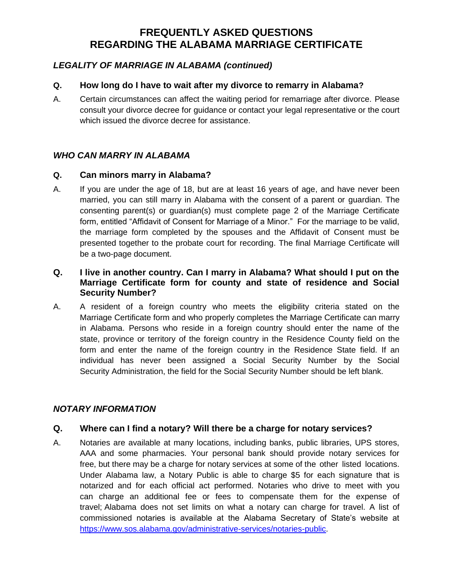# *LEGALITY OF MARRIAGE IN ALABAMA (continued)*

### **Q. How long do I have to wait after my divorce to remarry in Alabama?**

A. Certain circumstances can affect the waiting period for remarriage after divorce. Please consult your divorce decree for guidance or contact your legal representative or the court which issued the divorce decree for assistance.

# *WHO CAN MARRY IN ALABAMA*

### **Q. Can minors marry in Alabama?**

A. If you are under the age of 18, but are at least 16 years of age, and have never been married, you can still marry in Alabama with the consent of a parent or guardian. The consenting parent(s) or guardian(s) must complete page 2 of the Marriage Certificate form, entitled "Affidavit of Consent for Marriage of a Minor." For the marriage to be valid, the marriage form completed by the spouses and the Affidavit of Consent must be presented together to the probate court for recording. The final Marriage Certificate will be a two-page document.

## **Q. I live in another country. Can I marry in Alabama? What should I put on the Marriage Certificate form for county and state of residence and Social Security Number?**

A. A resident of a foreign country who meets the eligibility criteria stated on the Marriage Certificate form and who properly completes the Marriage Certificate can marry in Alabama. Persons who reside in a foreign country should enter the name of the state, province or territory of the foreign country in the Residence County field on the form and enter the name of the foreign country in the Residence State field. If an individual has never been assigned a Social Security Number by the Social Security Administration, the field for the Social Security Number should be left blank.

## *NOTARY INFORMATION*

## **Q. Where can I find a notary? Will there be a charge for notary services?**

A. Notaries are available at many locations, including banks, public libraries, UPS stores, AAA and some pharmacies. Your personal bank should provide notary services for free, but there may be a charge for notary services at some of the other listed locations. Under Alabama law, a Notary Public is able to charge \$5 for each signature that is notarized and for each official act performed. Notaries who drive to meet with you can charge an additional fee or fees to compensate them for the expense of travel; Alabama does not set limits on what a notary can charge for travel. A list of commissioned notaries is available at the Alabama Secretary of State's website at [https://www.sos.alabama.gov/administrative-services/notaries-public.](https://www.sos.alabama.gov/administrative-services/notaries-public)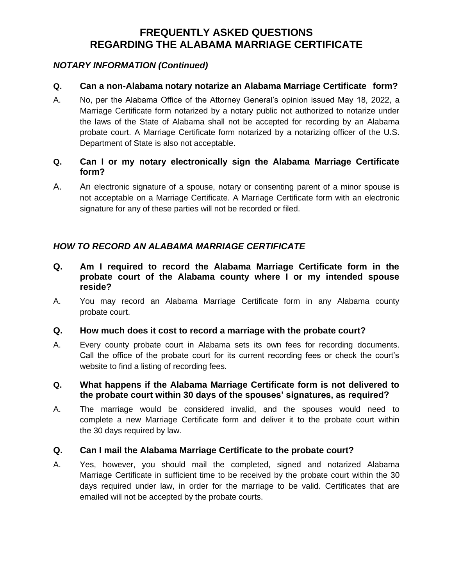## *NOTARY INFORMATION (Continued)*

## **Q. Can a non-Alabama notary notarize an Alabama Marriage Certificate form?**

A. No, per the Alabama Office of the Attorney General's opinion issued May 18, 2022, a Marriage Certificate form notarized by a notary public not authorized to notarize under the laws of the State of Alabama shall not be accepted for recording by an Alabama probate court. A Marriage Certificate form notarized by a notarizing officer of the U.S. Department of State is also not acceptable.

# **Q. Can I or my notary electronically sign the Alabama Marriage Certificate form?**

A. An electronic signature of a spouse, notary or consenting parent of a minor spouse is not acceptable on a Marriage Certificate. A Marriage Certificate form with an electronic signature for any of these parties will not be recorded or filed.

# *HOW TO RECORD AN ALABAMA MARRIAGE CERTIFICATE*

- **Q. Am I required to record the Alabama Marriage Certificate form in the probate court of the Alabama county where I or my intended spouse reside?**
- A. You may record an Alabama Marriage Certificate form in any Alabama county probate court.

## **Q. How much does it cost to record a marriage with the probate court?**

A. Every county probate court in Alabama sets its own fees for recording documents. Call the office of the probate court for its current recording fees or check the court's website to find a listing of recording fees.

### **Q. What happens if the Alabama Marriage Certificate form is not delivered to the probate court within 30 days of the spouses' signatures, as required?**

A. The marriage would be considered invalid, and the spouses would need to complete a new Marriage Certificate form and deliver it to the probate court within the 30 days required by law.

## **Q. Can I mail the Alabama Marriage Certificate to the probate court?**

A. Yes, however, you should mail the completed, signed and notarized Alabama Marriage Certificate in sufficient time to be received by the probate court within the 30 days required under law, in order for the marriage to be valid. Certificates that are emailed will not be accepted by the probate courts.